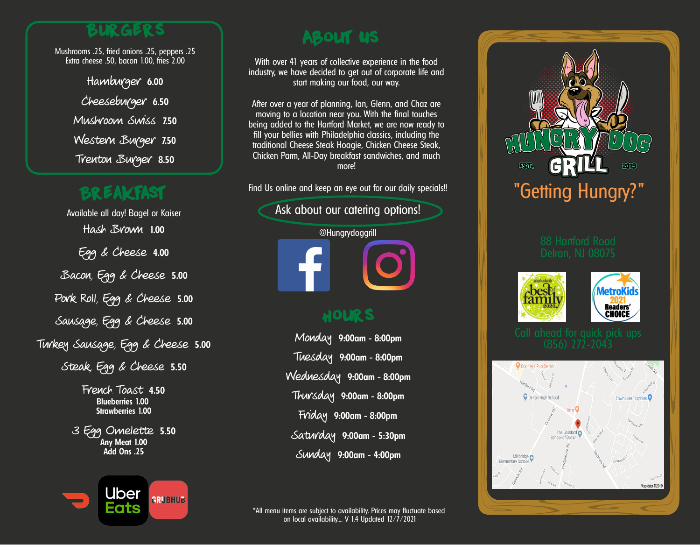#### **Burgers**

Mushrooms .25, fried onions .25, peppers .25 Extra cheese .50, bacon 1.00, fries 2.00

> Hamburger **6.00** Cheeseburger **6.50** Mushroom Swiss **7.50** Western Burger **7.50** Trenton Burger **8.50**

# **Breakfast**

Available all day! Bagel or Kaiser Hash Brown **1.00** Egg & Cheese **4.00** Bacon, Egg & Cheese **5.00** Pork Roll, Egg & Cheese **5.00** Sausage, Egg & Cheese **5.00** Turkey Sausage, Egg & Cheese **5.00** Steak, Egg & Cheese **5.50** French Toast **4.50**

**Blueberries 1.00 Strawberries 1.00**

3 Egg Omelette **5.50 Any Meat 1.00 Add Ons .25**



## **About Us**

With over 41 years of collective experience in the food industry, we have decided to get out of corporate life and start making our food, our way.

After over a year of planning, Ian, Glenn, and Chaz are moving to a location near you. With the final touches being added to the Hartford Market, we are now ready to fill your bellies with Philadelphia classics, including the traditional Cheese Steak Hoagie, Chicken Cheese Steak, Chicken Parm, All-Day breakfast sandwiches, and much more!

Find Us online and keep an eye out for our daily specials!!

#### Ask about our catering options!



#### **Hours**

Monday **9:00am - 8:00pm** Tuesday **9:00am - 8:00pm** Wednesday **9:00am - 8:00pm** Thursday **9:00am - 8:00pm** Friday **9:00am - 8:00pm** Saturday **9:00am - 5:30pm** Sunday **9:00am - 4:00pm**







\*All menu items are subject to availability. Prices may fluctuate based on local availability.... V 1.4 Updated 12/7/2021